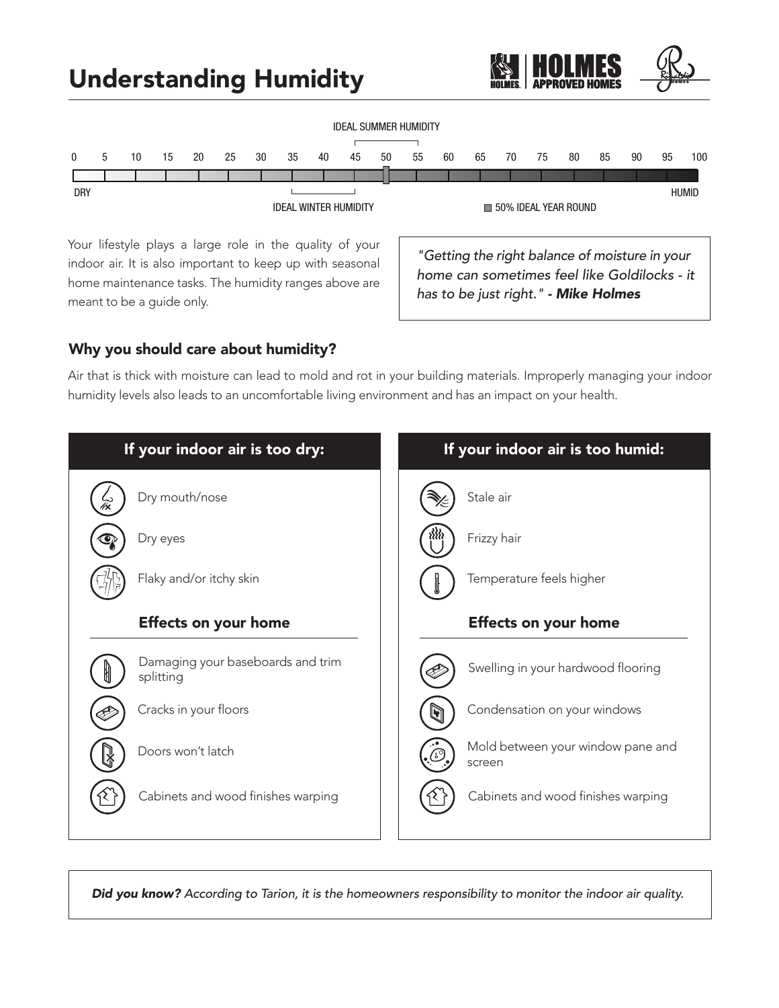# Understanding Humidity



Your lifestyle plays a large role in the quality of your indoor air. It is also important to keep up with seasonal home maintenance tasks. The humidity ranges above are meant to be a guide only.

*"Getting the right balance of moisture in your home can sometimes feel like Goldilocks - it has to be just right." - Mike Holmes*

## Why you should care about humidity?

Air that is thick with moisture can lead to mold and rot in your building materials. Improperly managing your indoor humidity levels also leads to an uncomfortable living environment and has an impact on your health.



*Did you know? According to Tarion, it is the homeowners responsibility to monitor the indoor air quality.*